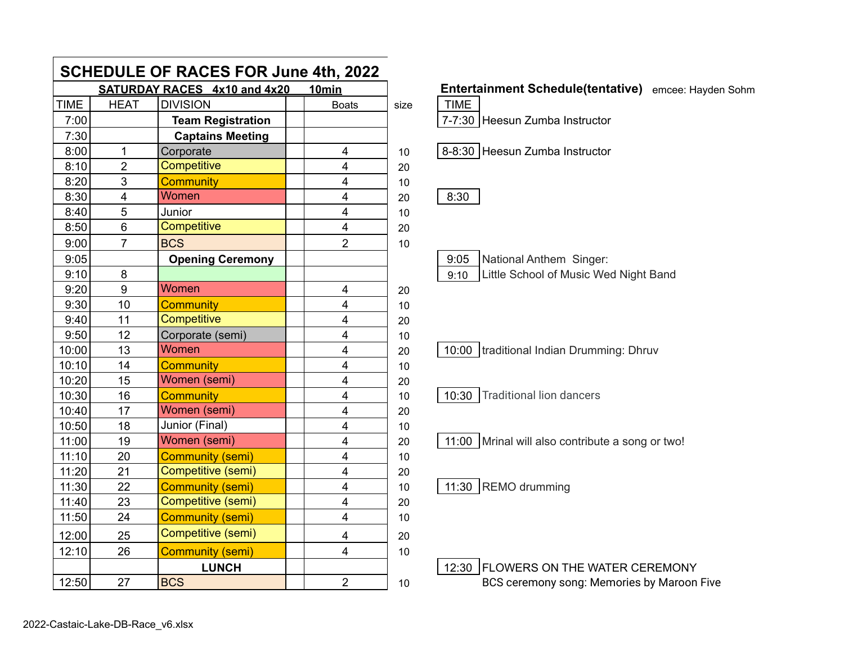| <b>SCHEDULE OF RACES FOR June 4th, 2022</b> |                |                                     |                         |      |               |
|---------------------------------------------|----------------|-------------------------------------|-------------------------|------|---------------|
|                                             |                | <b>SATURDAY RACES 4x10 and 4x20</b> | 10min                   |      | <b>Entert</b> |
| <b>TIME</b>                                 | <b>HEAT</b>    | <b>DIVISION</b>                     | <b>Boats</b>            | size | <b>TIME</b>   |
| 7:00                                        |                | <b>Team Registration</b>            |                         |      | $7 - 7:30$    |
| 7:30                                        |                | <b>Captains Meeting</b>             |                         |      |               |
| 8:00                                        | $\overline{1}$ | Corporate                           | $\overline{4}$          | 10   | 8-8:30        |
| 8:10                                        | $\overline{2}$ | Competitive                         | 4                       | 20   |               |
| 8:20                                        | 3              | <b>Community</b>                    | $\overline{4}$          | 10   |               |
| 8:30                                        | 4              | Women                               | $\overline{4}$          | 20   | 8:30          |
| 8:40                                        | 5              | Junior                              | $\overline{4}$          | 10   |               |
| 8:50                                        | 6              | Competitive                         | $\overline{\mathbf{4}}$ | 20   |               |
| 9:00                                        | $\overline{7}$ | <b>BCS</b>                          | $\overline{2}$          | 10   |               |
| 9:05                                        |                | <b>Opening Ceremony</b>             |                         |      | 9:05          |
| 9:10                                        | 8              |                                     |                         |      | 9:10          |
| 9:20                                        | 9              | Women                               | $\overline{\mathbf{4}}$ | 20   |               |
| 9:30                                        | 10             | <b>Community</b>                    | $\overline{4}$          | 10   |               |
| 9:40                                        | 11             | Competitive                         | 4                       | 20   |               |
| 9:50                                        | 12             | Corporate (semi)                    | 4                       | 10   |               |
| 10:00                                       | 13             | Women                               | $\overline{4}$          | 20   | 10:00         |
| 10:10                                       | 14             | <b>Community</b>                    | $\overline{4}$          | 10   |               |
| 10:20                                       | 15             | Women (semi)                        | $\overline{4}$          | 20   |               |
| 10:30                                       | 16             | <b>Community</b>                    | $\overline{4}$          | 10   | 10:30         |
| 10:40                                       | 17             | Women (semi)                        | 4                       | 20   |               |
| 10:50                                       | 18             | Junior (Final)                      | $\overline{4}$          | 10   |               |
| 11:00                                       | 19             | Women (semi)                        | $\overline{4}$          | 20   | 11:00         |
| 11:10                                       | 20             | <b>Community (semi)</b>             | $\overline{\mathbf{4}}$ | 10   |               |
| 11:20                                       | 21             | Competitive (semi)                  | $\overline{4}$          | 20   |               |
| 11:30                                       | 22             | <b>Community (semi)</b>             | 4                       | 10   | 11:30         |
| 11:40                                       | 23             | Competitive (semi)                  | $\overline{4}$          | 20   |               |
| 11:50                                       | 24             | <b>Community (semi)</b>             | 4                       | 10   |               |
| 12:00                                       | 25             | Competitive (semi)                  | $\overline{\mathbf{4}}$ | 20   |               |
| 12:10                                       | 26             | <b>Community (semi)</b>             | $\overline{4}$          | 10   |               |
|                                             |                | <b>LUNCH</b>                        |                         |      | 12:30         |
| 12:50                                       | 27             | <b>BCS</b>                          | $\overline{2}$          | 10   |               |

## **Entertainment Schedule(tentative)** emcee: Hayden Sohm

| TIME |                                |
|------|--------------------------------|
|      | 7-7:30 Heesun Zumba Instructor |

8-8:30 Heesun Zumba Instructor

|--|--|

9:05 | National Anthem Singer: 9:10 | Little School of Music Wed Night Band

10:00 | traditional Indian Drumming: Dhruv

10:30 Traditional lion dancers

11:00  $\vert$  Mrinal will also contribute a song or two!

11:30 REMO drumming

12:30 FLOWERS ON THE WATER CEREMONY BCS ceremony song: Memories by Maroon Five